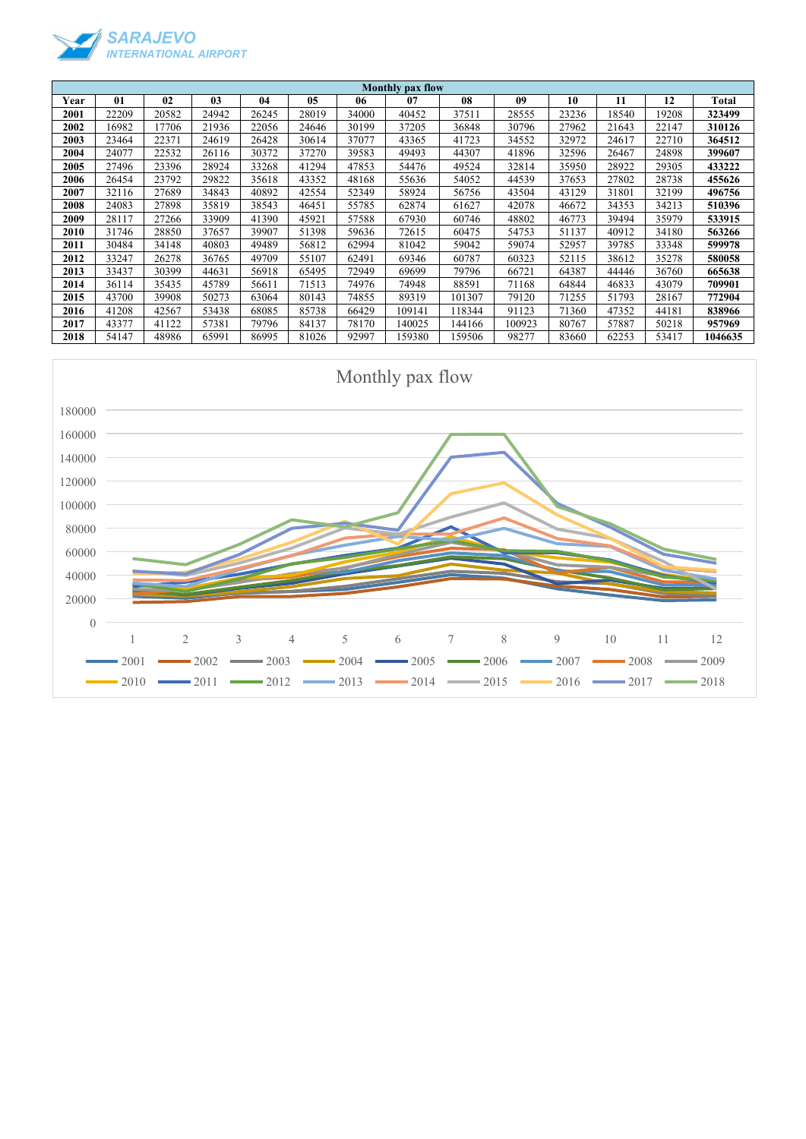

| <b>Monthly pax flow</b> |       |       |                |       |       |       |        |        |        |       |       |       |              |
|-------------------------|-------|-------|----------------|-------|-------|-------|--------|--------|--------|-------|-------|-------|--------------|
| Year                    | 01    | 02    | 0 <sub>3</sub> | 04    | 05    | 06    | 07     | 08     | 09     | 10    | 11    | 12    | <b>Total</b> |
| 2001                    | 22209 | 20582 | 24942          | 26245 | 28019 | 34000 | 40452  | 37511  | 28555  | 23236 | 18540 | 19208 | 323499       |
| 2002                    | 16982 | 17706 | 21936          | 22056 | 24646 | 30199 | 37205  | 36848  | 30796  | 27962 | 21643 | 22147 | 310126       |
| 2003                    | 23464 | 22371 | 24619          | 26428 | 30614 | 37077 | 43365  | 41723  | 34552  | 32972 | 24617 | 22710 | 364512       |
| 2004                    | 24077 | 22532 | 26116          | 30372 | 37270 | 39583 | 49493  | 44307  | 41896  | 32596 | 26467 | 24898 | 399607       |
| 2005                    | 27496 | 23396 | 28924          | 33268 | 41294 | 47853 | 54476  | 49524  | 32814  | 35950 | 28922 | 29305 | 433222       |
| 2006                    | 26454 | 23792 | 29822          | 35618 | 43352 | 48168 | 55636  | 54052  | 44539  | 37653 | 27802 | 28738 | 455626       |
| 2007                    | 32116 | 27689 | 34843          | 40892 | 42554 | 52349 | 58924  | 56756  | 43504  | 43129 | 31801 | 32199 | 496756       |
| 2008                    | 24083 | 27898 | 35819          | 38543 | 46451 | 55785 | 62874  | 61627  | 42078  | 46672 | 34353 | 34213 | 510396       |
| 2009                    | 28117 | 27266 | 33909          | 41390 | 45921 | 57588 | 67930  | 60746  | 48802  | 46773 | 39494 | 35979 | 533915       |
| 2010                    | 31746 | 28850 | 37657          | 39907 | 51398 | 59636 | 72615  | 60475  | 54753  | 51137 | 40912 | 34180 | 563266       |
| 2011                    | 30484 | 34148 | 40803          | 49489 | 56812 | 62994 | 81042  | 59042  | 59074  | 52957 | 39785 | 33348 | 599978       |
| 2012                    | 33247 | 26278 | 36765          | 49709 | 55107 | 62491 | 69346  | 60787  | 60323  | 52115 | 38612 | 35278 | 580058       |
| 2013                    | 33437 | 30399 | 44631          | 56918 | 65495 | 72949 | 69699  | 79796  | 66721  | 64387 | 44446 | 36760 | 665638       |
| 2014                    | 36114 | 35435 | 45789          | 56611 | 71513 | 74976 | 74948  | 88591  | 71168  | 64844 | 46833 | 43079 | 709901       |
| 2015                    | 43700 | 39908 | 50273          | 63064 | 80143 | 74855 | 89319  | 101307 | 79120  | 71255 | 51793 | 28167 | 772904       |
| 2016                    | 41208 | 42567 | 53438          | 68085 | 85738 | 66429 | 109141 | 118344 | 91123  | 71360 | 47352 | 44181 | 838966       |
| 2017                    | 43377 | 41122 | 57381          | 79796 | 84137 | 78170 | 140025 | 144166 | 100923 | 80767 | 57887 | 50218 | 957969       |
| 2018                    | 54147 | 48986 | 65991          | 86995 | 81026 | 92997 | 159380 | 159506 | 98277  | 83660 | 62253 | 53417 | 1046635      |